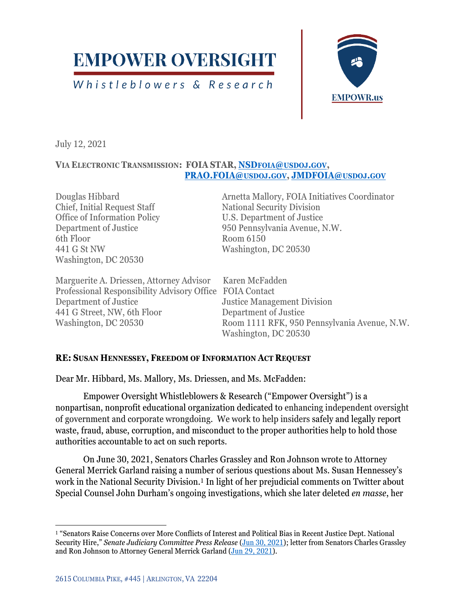# **EMPOWER OVERSIGHT**

Whistleblowers & Research



July 12, 2021

### **VIA ELECTRONIC TRANSMISSION: FOIA STAR, NSDFOIA@[USDOJ](mailto:NSDfoia@usdoj.gov).GOV, [PRAO.FOIA@](mailto:PRAO.FOIA@usdoj.gov)USDOJ.GOV, [JMDFOIA@](mailto:JMDFOIA@usdoj.gov)USDOJ.GOV**

Chief, Initial Request Staff National Security Division Office of Information Policy U.S. Department of Justice 6th Floor Room 6150 441 G St NW Washington, DC 20530 Washington, DC 20530

Douglas Hibbard Arnetta Mallory, FOIA Initiatives Coordinator Department of Justice 950 Pennsylvania Avenue, N.W.

Marguerite A. Driessen, Attorney Advisor Karen McFadden Professional Responsibility Advisory Office FOIA Contact Department of Justice Justice Management Division 441 G Street, NW, 6th Floor Department of Justice

Washington, DC 20530 Room 1111 RFK, 950 Pennsylvania Avenue, N.W. Washington, DC 20530

## **RE: SUSAN HENNESSEY, FREEDOM OF INFORMATION ACT REQUEST**

Dear Mr. Hibbard, Ms. Mallory, Ms. Driessen, and Ms. McFadden:

Empower Oversight Whistleblowers & Research ("Empower Oversight") is a nonpartisan, nonprofit educational organization dedicated to enhancing independent oversight of government and corporate wrongdoing. We work to help insiders safely and legally report waste, fraud, abuse, corruption, and misconduct to the proper authorities help to hold those authorities accountable to act on such reports.

On June 30, 2021, Senators Charles Grassley and Ron Johnson wrote to Attorney General Merrick Garland raising a number of serious questions about Ms. Susan Hennessey's work in the National Security Division.<sup>1</sup> In light of her prejudicial comments on Twitter about Special Counsel John Durham's ongoing investigations, which she later deleted *en masse*, her

<sup>1</sup> "Senators Raise Concerns over More Conflicts of Interest and Political Bias in Recent Justice Dept. National Security Hire," *Senate Judiciary Committee Press Release* [\(Jun 30, 2021\)](https://www.judiciary.senate.gov/press/rep/releases/senators-raise-concerns-over-more-conflicts-of-interest-and-political-bias-in-recent-justice-dept-national-security-hire); letter from Senators Charles Grassley and Ron Johnson to Attorney General Merrick Garland [\(Jun 29, 2021\)](https://www.judiciary.senate.gov/imo/media/doc/grassley_johnson_to_justice_dept.hennesseyconflicts.pdf).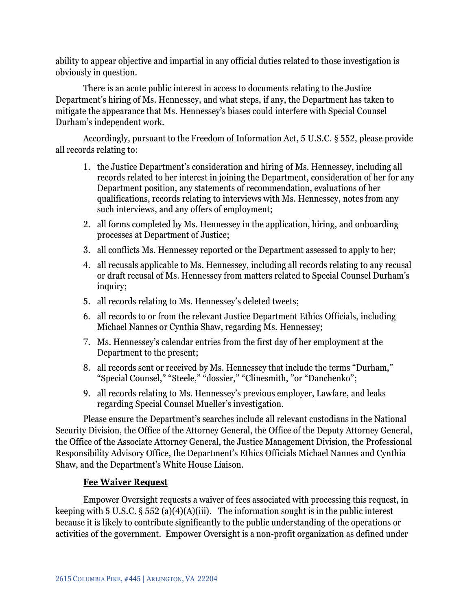ability to appear objective and impartial in any official duties related to those investigation is obviously in question.

There is an acute public interest in access to documents relating to the Justice Department's hiring of Ms. Hennessey, and what steps, if any, the Department has taken to mitigate the appearance that Ms. Hennessey's biases could interfere with Special Counsel Durham's independent work.

Accordingly, pursuant to the Freedom of Information Act, 5 U.S.C. § 552, please provide all records relating to:

- 1. the Justice Department's consideration and hiring of Ms. Hennessey, including all records related to her interest in joining the Department, consideration of her for any Department position, any statements of recommendation, evaluations of her qualifications, records relating to interviews with Ms. Hennessey, notes from any such interviews, and any offers of employment;
- 2. all forms completed by Ms. Hennessey in the application, hiring, and onboarding processes at Department of Justice;
- 3. all conflicts Ms. Hennessey reported or the Department assessed to apply to her;
- 4. all recusals applicable to Ms. Hennessey, including all records relating to any recusal or draft recusal of Ms. Hennessey from matters related to Special Counsel Durham's inquiry;
- 5. all records relating to Ms. Hennessey's deleted tweets;
- 6. all records to or from the relevant Justice Department Ethics Officials, including Michael Nannes or Cynthia Shaw, regarding Ms. Hennessey;
- 7. Ms. Hennessey's calendar entries from the first day of her employment at the Department to the present;
- 8. all records sent or received by Ms. Hennessey that include the terms "Durham," "Special Counsel," "Steele," "dossier," "Clinesmith, "or "Danchenko";
- 9. all records relating to Ms. Hennessey's previous employer, Lawfare, and leaks regarding Special Counsel Mueller's investigation.

Please ensure the Department's searches include all relevant custodians in the National Security Division, the Office of the Attorney General, the Office of the Deputy Attorney General, the Office of the Associate Attorney General, the Justice Management Division, the Professional Responsibility Advisory Office, the Department's Ethics Officials Michael Nannes and Cynthia Shaw, and the Department's White House Liaison.

## **Fee Waiver Request**

Empower Oversight requests a waiver of fees associated with processing this request, in keeping with 5 U.S.C.  $\S 552$  (a)(4)(A)(iii). The information sought is in the public interest because it is likely to contribute significantly to the public understanding of the operations or activities of the government. Empower Oversight is a non-profit organization as defined under